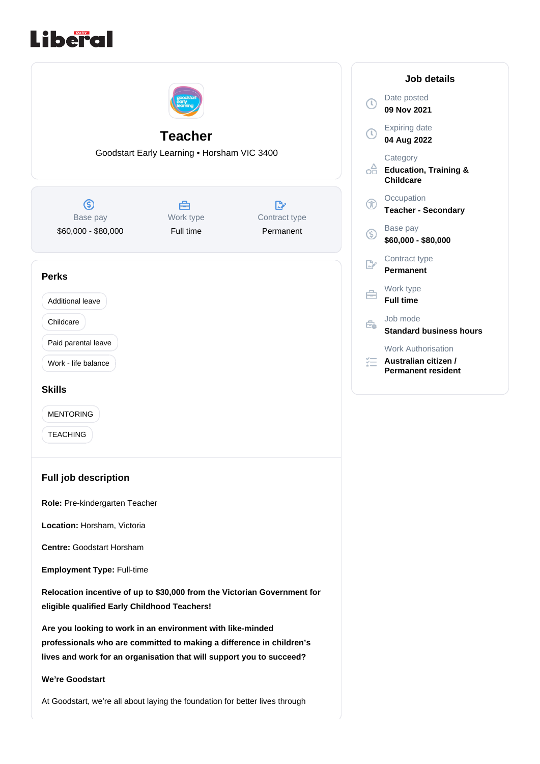

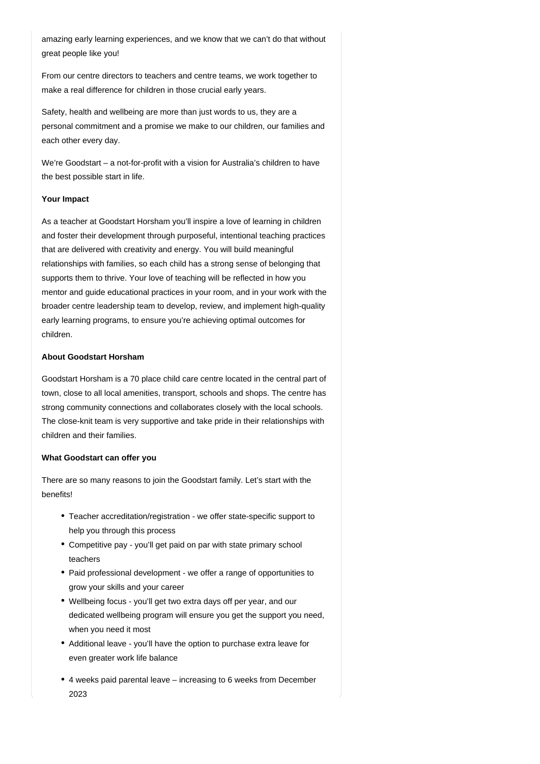amazing early learning experiences, and we know that we can't do that without great people like you!

From our centre directors to teachers and centre teams, we work together to make a real difference for children in those crucial early years.

Safety, health and wellbeing are more than just words to us, they are a personal commitment and a promise we make to our children, our families and each other every day.

We're Goodstart – a not-for-profit with a vision for Australia's children to have the best possible start in life.

### **Your Impact**

As a teacher at Goodstart Horsham you'll inspire a love of learning in children and foster their development through purposeful, intentional teaching practices that are delivered with creativity and energy. You will build meaningful relationships with families, so each child has a strong sense of belonging that supports them to thrive. Your love of teaching will be reflected in how you mentor and guide educational practices in your room, and in your work with the broader centre leadership team to develop, review, and implement high-quality early learning programs, to ensure you're achieving optimal outcomes for children.

### **About Goodstart Horsham**

Goodstart Horsham is a 70 place child care centre located in the central part of town, close to all local amenities, transport, schools and shops. The centre has strong community connections and collaborates closely with the local schools. The close-knit team is very supportive and take pride in their relationships with children and their families.

#### **What Goodstart can offer you**

There are so many reasons to join the Goodstart family. Let's start with the benefits!

- Teacher accreditation/registration we offer state-specific support to help you through this process
- Competitive pay you'll get paid on par with state primary school teachers
- Paid professional development we offer a range of opportunities to grow your skills and your career
- Wellbeing focus you'll get two extra days off per year, and our dedicated wellbeing program will ensure you get the support you need, when you need it most
- Additional leave you'll have the option to purchase extra leave for even greater work life balance
- 4 weeks paid parental leave increasing to 6 weeks from December 2023